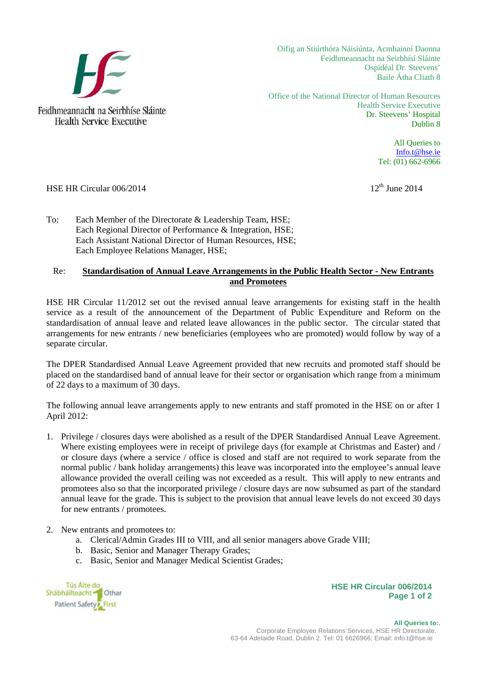

Oifig an Stiúrthóra Náisiúnta, Acmhainní Daonna Feidhmeannacht na Seirbhísí Sláinte Ospidéal Dr. Steevens' Baile Átha Cliath 8

Office of the National Director of Human Resources Health Service Executive Dr. Steevens' Hospital Dublin 8

> All Queries to Info.t@hse.ie Tel: (01) 662-6966

## HSE HR Circular  $006/2014$  12<sup>th</sup> June 2014

To: Each Member of the Directorate & Leadership Team, HSE; Each Regional Director of Performance & Integration, HSE; Each Assistant National Director of Human Resources, HSE; Each Employee Relations Manager, HSE;

## Re: **Standardisation of Annual Leave Arrangements in the Public Health Sector - New Entrants and Promotees**

HSE HR Circular 11/2012 set out the revised annual leave arrangements for existing staff in the health service as a result of the announcement of the Department of Public Expenditure and Reform on the standardisation of annual leave and related leave allowances in the public sector. The circular stated that arrangements for new entrants / new beneficiaries (employees who are promoted) would follow by way of a separate circular.

The DPER Standardised Annual Leave Agreement provided that new recruits and promoted staff should be placed on the standardised band of annual leave for their sector or organisation which range from a minimum of 22 days to a maximum of 30 days.

The following annual leave arrangements apply to new entrants and staff promoted in the HSE on or after 1 April 2012:

- 1. Privilege / closures days were abolished as a result of the DPER Standardised Annual Leave Agreement. Where existing employees were in receipt of privilege days (for example at Christmas and Easter) and / or closure days (where a service / office is closed and staff are not required to work separate from the normal public / bank holiday arrangements) this leave was incorporated into the employee's annual leave allowance provided the overall ceiling was not exceeded as a result. This will apply to new entrants and promotees also so that the incorporated privilege / closure days are now subsumed as part of the standard annual leave for the grade. This is subject to the provision that annual leave levels do not exceed 30 days for new entrants / promotees.
- 2. New entrants and promotees to:
	- a. Clerical/Admin Grades III to VIII, and all senior managers above Grade VIII;
	- b. Basic, Senior and Manager Therapy Grades;
	- c. Basic, Senior and Manager Medical Scientist Grades;

| <b>Tús Aite do</b><br>Shabhailteacht <sup>1</sup> Othar |  |
|---------------------------------------------------------|--|
| Patient Safety First                                    |  |

## **HSE HR Circular 006/2014 Page 1 of 2**

 **All Queries to:**. Corporate Employee Relations Services, HSE HR Directorate, 63-64 Adelaide Road, Dublin 2. Tel: 01 6626966; Email: info.t@hse.ie